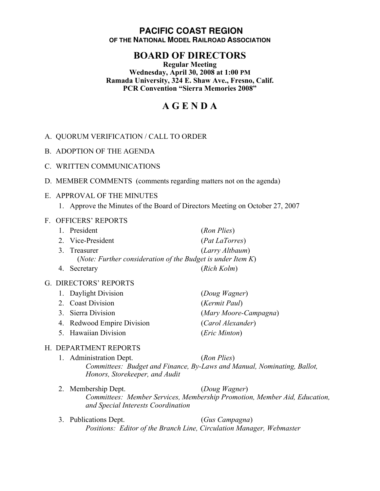## **PACIFIC COAST REGION OF THE NATIONAL MODEL RAILROAD ASSOCIATION**

# **BOARD OF DIRECTORS**

**Regular Meeting Wednesday, April 30, 2008 at 1:00 PM Ramada University, 324 E. Shaw Ave., Fresno, Calif. PCR Convention "Sierra Memories 2008"**

# **A G E N D A**

- A. QUORUM VERIFICATION / CALL TO ORDER
- B. ADOPTION OF THE AGENDA
- C. WRITTEN COMMUNICATIONS
- D. MEMBER COMMENTS (comments regarding matters not on the agenda)

#### E. APPROVAL OF THE MINUTES

1. Approve the Minutes of the Board of Directors Meeting on October 27, 2007

#### F. OFFICERS' REPORTS

| 1. President                                                   | (Ron Plies)     |  |
|----------------------------------------------------------------|-----------------|--|
| 2. Vice-President                                              | (Pat LaTorres)  |  |
| 3. Treasurer                                                   | (Larry Altbaum) |  |
| (Note: Further consideration of the Budget is under Item $K$ ) |                 |  |
| 4. Secretary                                                   | (Rich Kolm)     |  |

#### G. DIRECTORS' REPORTS

| 1. Daylight Division       | (Doug Wagner)          |
|----------------------------|------------------------|
| 2. Coast Division          | (Kermit Paul)          |
| 3. Sierra Division         | (Mary Moore-Campagna)  |
| 4. Redwood Empire Division | (Carol Alexander)      |
| 5. Hawaiian Division       | ( <i>Eric Minton</i> ) |

#### H. DEPARTMENT REPORTS

- 1. Administration Dept. (*Ron Plies*) *Committees: Budget and Finance, By-Laws and Manual, Nominating, Ballot, Honors, Storekeeper, and Audit*
- 2. Membership Dept. (*Doug Wagner*) *Committees: Member Services, Membership Promotion, Member Aid, Education, and Special Interests Coordination*
- 3. Publications Dept. (*Gus Campagna*) *Positions: Editor of the Branch Line, Circulation Manager, Webmaster*